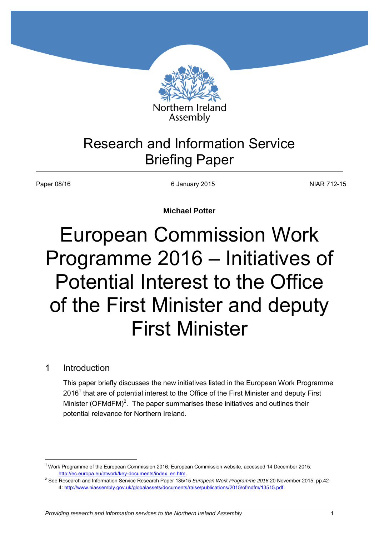

# Research and Information Service Briefing Paper

Paper 08/16 **NIAR 712-15** 6 January 2015 **COVID-11** 6 January 2015

**Michael Potter** 

# European Commission Work Programme 2016 – Initiatives of Potential Interest to the Office of the First Minister and deputy First Minister

# 1 Introduction

 $\overline{a}$ 

This paper briefly discusses the new initiatives listed in the European Work Programme 2016<sup>1</sup> that are of potential interest to the Office of the First Minister and deputy First Minister (OFMdFM)<sup>2</sup>. The paper summarises these initiatives and outlines their potential relevance for Northern Ireland.

<sup>&</sup>lt;sup>1</sup> Work Programme of the European Commission 2016, European Commission website, accessed 14 December 2015: [http://ec.europa.eu/atwork/key-documents/index\\_en.htm.](http://ec.europa.eu/atwork/key-documents/index_en.htm) 

<sup>2</sup> See Research and Information Service Research Paper 135/15 *European Work Programme 2016* 20 November 2015, pp.42- 4: [http://www.niassembly.gov.uk/globalassets/documents/raise/publications/2015/ofmdfm/13515.pdf.](http://www.niassembly.gov.uk/globalassets/documents/raise/publications/2015/ofmdfm/13515.pdf)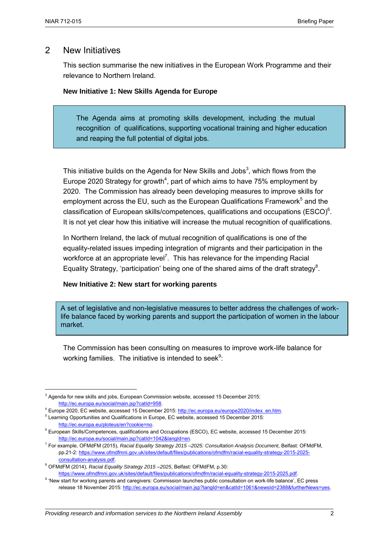### 2 New Initiatives

This section summarise the new initiatives in the European Work Programme and their relevance to Northern Ireland.

#### **New Initiative 1: New Skills Agenda for Europe**

The Agenda aims at promoting skills development, including the mutual recognition of qualifications, supporting vocational training and higher education and reaping the full potential of digital jobs.

This initiative builds on the Agenda for New Skills and Jobs<sup>3</sup>, which flows from the Europe 2020 Strategy for growth<sup>4</sup>, part of which aims to have 75% employment by 2020. The Commission has already been developing measures to improve skills for employment across the EU, such as the European Qualifications Framework<sup>5</sup> and the classification of European skills/competences, qualifications and occupations (ESCO) $6$ . It is not yet clear how this initiative will increase the mutual recognition of qualifications.

In Northern Ireland, the lack of mutual recognition of qualifications is one of the equality-related issues impeding integration of migrants and their participation in the workforce at an appropriate level<sup>7</sup>. This has relevance for the impending Racial Equality Strategy, 'participation' being one of the shared aims of the draft strategy<sup>8</sup>.

#### **New Initiative 2: New start for working parents**

A set of legislative and non-legislative measures to better address the challenges of worklife balance faced by working parents and support the participation of women in the labour market.

The Commission has been consulting on measures to improve work-life balance for working families. The initiative is intended to seek $9$ :

<sup>&</sup>lt;sup>3</sup> Agenda for new skills and jobs, European Commission website, accessed 15 December 2015: [http://ec.europa.eu/social/main.jsp?catId=958.](http://ec.europa.eu/social/main.jsp?catId=958) 

<sup>&</sup>lt;sup>4</sup> Europe 2020, EC website, accessed 15 December 2015: http://ec.europa.eu/europe2020/index\_en.htm.

<sup>&</sup>lt;sup>5</sup> Learning Opportunities and Qualifications in Europe, EC website, accessed 15 December 2015: [http://ec.europa.eu/ploteus/en?cookie=no.](http://ec.europa.eu/ploteus/en?cookie=no)

<sup>6</sup> European Skills/Competences, qualifications and Occupations (ESCO), EC website, accessed 15 December 2015: http://ec.europa.eu/social/main.jsp?catId=1042&langId=en.

<sup>7</sup> For example, OFMdFM (2015), *Racial Equality Strategy 2015 –2025: Consultation Analysis Document*, Belfast: OFMdFM, pp.21-2[: https://www.ofmdfmni.gov.uk/sites/default/files/publications/ofmdfm/racial-equality-strategy-2015-2025](https://www.ofmdfmni.gov.uk/sites/default/files/publications/ofmdfm/racial-equality-strategy-2015-2025-consultation-analysis.pdf) [consultation-analysis.pdf.](https://www.ofmdfmni.gov.uk/sites/default/files/publications/ofmdfm/racial-equality-strategy-2015-2025-consultation-analysis.pdf)

<sup>8</sup> OFMdFM (2014), *Racial Equality Strategy 2015 –2025*, Belfast: OFMdFM, p.30: [https://www.ofmdfmni.gov.uk/sites/default/files/publications/ofmdfm/racial-equality-strategy-2015-2025.pdf.](https://www.ofmdfmni.gov.uk/sites/default/files/publications/ofmdfm/racial-equality-strategy-2015-2025.pdf)

<sup>&</sup>lt;sup>9</sup> 'New start for working parents and caregivers: Commission launches public consultation on work-life balance', EC press release 18 November 2015[: http://ec.europa.eu/social/main.jsp?langId=en&catId=1061&newsId=2388&furtherNews=yes.](http://ec.europa.eu/social/main.jsp?langId=en&catId=1061&newsId=2388&furtherNews=yes)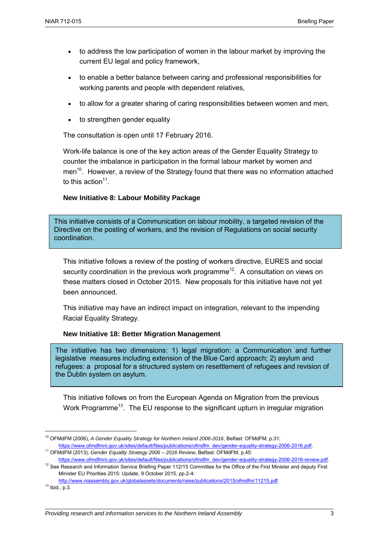- to address the low participation of women in the labour market by improving the current EU legal and policy framework,
- to enable a better balance between caring and professional responsibilities for working parents and people with dependent relatives,
- to allow for a greater sharing of caring responsibilities between women and men,
- to strengthen gender equality

The consultation is open until 17 February 2016.

Work-life balance is one of the key action areas of the Gender Equality Strategy to counter the imbalance in participation in the formal labour market by women and men<sup>10</sup>. However, a review of the Strategy found that there was no information attached to this action $11$ .

#### **New Initiative 8: Labour Mobility Package**

This initiative consists of a Communication on labour mobility, a targeted revision of the Directive on the posting of workers, and the revision of Regulations on social security coordination.

This initiative follows a review of the posting of workers directive, EURES and social security coordination in the previous work programme<sup>12</sup>. A consultation on views on these matters closed in October 2015. New proposals for this initiative have not yet been announced.

This initiative may have an indirect impact on integration, relevant to the impending Racial Equality Strategy.

#### **New Initiative 18: Better Migration Management**

The initiative has two dimensions: 1) legal migration: a Communication and further legislative measures including extension of the Blue Card approach; 2) asylum and refugees: a proposal for a structured system on resettlement of refugees and revision of the Dublin system on asylum.

This initiative follows on from the European Agenda on Migration from the previous Work Programme<sup>13</sup>. The EU response to the significant upturn in irregular migration

 $\overline{a}$ 

<sup>10</sup> OFMdFM (2006), *A Gender Equality Strategy for Northern Ireland 2006-2016*, Belfast: OFMdFM, p.31: [https://www.ofmdfmni.gov.uk/sites/default/files/publications/ofmdfm\\_dev/gender-equality-strategy-2006-2016.pdf.](https://www.ofmdfmni.gov.uk/sites/default/files/publications/ofmdfm_dev/gender-equality-strategy-2006-2016.pdf)

<sup>11</sup> OFMdFM (2013), *Gender Equality Strategy 2006 – 2016 Review*, Belfast: OFMdFM, p.45:

[https://www.ofmdfmni.gov.uk/sites/default/files/publications/ofmdfm\\_dev/gender-equality-strategy-2006-2016-review.pdf.](https://www.ofmdfmni.gov.uk/sites/default/files/publications/ofmdfm_dev/gender-equality-strategy-2006-2016-review.pdf) <sup>12</sup> See Research and Information Service Briefing Paper 112/15 Committee for the Office of the First Minister and deputy First

Minister EU Priorities 2015: Update, 9 October 2015, pp.2-4:

[http://www.niassembly.gov.uk/globalassets/documents/raise/publications/2015/ofmdfm/11215.pdf.](http://www.niassembly.gov.uk/globalassets/documents/raise/publications/2015/ofmdfm/11215.pdf) 

 $13$  Ibid., p.3.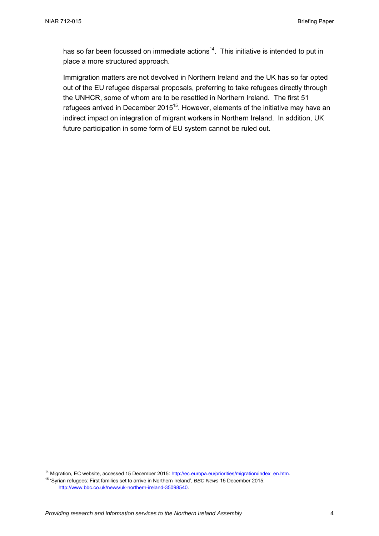has so far been focussed on immediate actions<sup>14</sup>. This initiative is intended to put in place a more structured approach.

Immigration matters are not devolved in Northern Ireland and the UK has so far opted out of the EU refugee dispersal proposals, preferring to take refugees directly through the UNHCR, some of whom are to be resettled in Northern Ireland. The first 51 refugees arrived in December 2015<sup>15</sup>. However, elements of the initiative may have an indirect impact on integration of migrant workers in Northern Ireland. In addition, UK future participation in some form of EU system cannot be ruled out.

<sup>&</sup>lt;sup>14</sup> Migration, EC website, accessed 15 December 2015[: http://ec.europa.eu/priorities/migration/index\\_en.htm.](http://ec.europa.eu/priorities/migration/index_en.htm) 15 'Syrian refugees: First families set to arrive in Northern Ireland', *BBC News* 15 December 2015: [http://www.bbc.co.uk/news/uk-northern-ireland-35098540.](http://www.bbc.co.uk/news/uk-northern-ireland-35098540)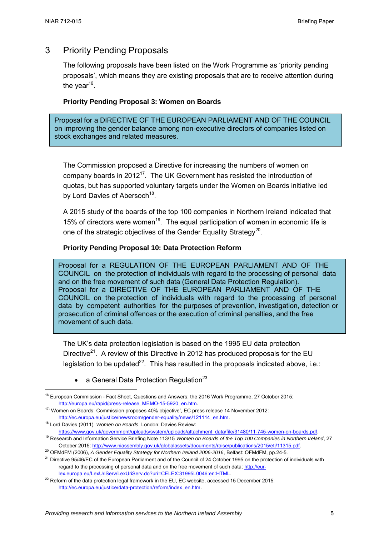## 3 Priority Pending Proposals

The following proposals have been listed on the Work Programme as 'priority pending proposals', which means they are existing proposals that are to receive attention during the year<sup>16</sup>.

#### **Priority Pending Proposal 3: Women on Boards**

Proposal for a DIRECTIVE OF THE EUROPEAN PARLIAMENT AND OF THE COUNCIL on improving the gender balance among non-executive directors of companies listed on stock exchanges and related measures.

The Commission proposed a Directive for increasing the numbers of women on company boards in  $2012^{17}$ . The UK Government has resisted the introduction of quotas, but has supported voluntary targets under the Women on Boards initiative led by Lord Davies of Abersoch<sup>18</sup>.

A 2015 study of the boards of the top 100 companies in Northern Ireland indicated that 15% of directors were women<sup>19</sup>. The equal participation of women in economic life is one of the strategic objectives of the Gender Equality Strategy<sup>20</sup>.

#### **Priority Pending Proposal 10: Data Protection Reform**

Proposal for a REGULATION OF THE EUROPEAN PARLIAMENT AND OF THE COUNCIL on the protection of individuals with regard to the processing of personal data and on the free movement of such data (General Data Protection Regulation). Proposal for a DIRECTIVE OF THE EUROPEAN PARLIAMENT AND OF THE COUNCIL on the protection of individuals with regard to the processing of personal data by competent authorities for the purposes of prevention, investigation, detection or prosecution of criminal offences or the execution of criminal penalties, and the free movement of such data.

The UK's data protection legislation is based on the 1995 EU data protection Directive<sup>21</sup>. A review of this Directive in 2012 has produced proposals for the EU legislation to be updated<sup>22</sup>. This has resulted in the proposals indicated above, i.e.:

• a General Data Protection Regulation<sup>23</sup>

<sup>18</sup> Lord Davies (2011), *Women on Boards*, London: Davies Review:

<sup>&</sup>lt;sup>16</sup> European Commission - Fact Sheet, Questions and Answers: the 2016 Work Programme, 27 October 2015: [http://europa.eu/rapid/press-release\\_MEMO-15-5920\\_en.htm.](http://europa.eu/rapid/press-release_MEMO-15-5920_en.htm)

<sup>17.</sup> Women on Boards: Commission proposes 40% objective', EC press release 14 November 2012: [http://ec.europa.eu/justice/newsroom/gender-equality/news/121114\\_en.htm.](http://ec.europa.eu/justice/newsroom/gender-equality/news/121114_en.htm)

[https://www.gov.uk/government/uploads/system/uploads/attachment\\_data/file/31480/11-745-women-on-boards.pdf.](https://www.gov.uk/government/uploads/system/uploads/attachment_data/file/31480/11-745-women-on-boards.pdf) <sup>19</sup> Research and Information Service Briefing Note 113/15 *Women on Boards of the Top 100 Companies in Northern Ireland*, 27 October 2015: [http://www.niassembly.gov.uk/globalassets/documents/raise/publications/2015/eti/11315.pdf.](http://www.niassembly.gov.uk/globalassets/documents/raise/publications/2015/eti/11315.pdf)

<sup>&</sup>lt;sup>20</sup> OFMdFM (2006), *A Gender Equality Strategy for Northern Ireland 2006-2016*, Belfast: OFMdFM, pp.24-5.

<sup>&</sup>lt;sup>21</sup> Directive 95/46/EC of the European Parliament and of the Council of 24 October 1995 on the protection of individuals with regard to the processing of personal data and on the free movement of such data: [http://eur](http://eur-lex.europa.eu/LexUriServ/LexUriServ.do?uri=CELEX:31995L0046:en:HTML)[lex.europa.eu/LexUriServ/LexUriServ.do?uri=CELEX:31995L0046:en:HTML.](http://eur-lex.europa.eu/LexUriServ/LexUriServ.do?uri=CELEX:31995L0046:en:HTML) 

 $^{22}$  Reform of the data protection legal framework in the EU, EC website, accessed 15 December 2015: [http://ec.europa.eu/justice/data-protection/reform/index\\_en.htm.](http://ec.europa.eu/justice/data-protection/reform/index_en.htm)